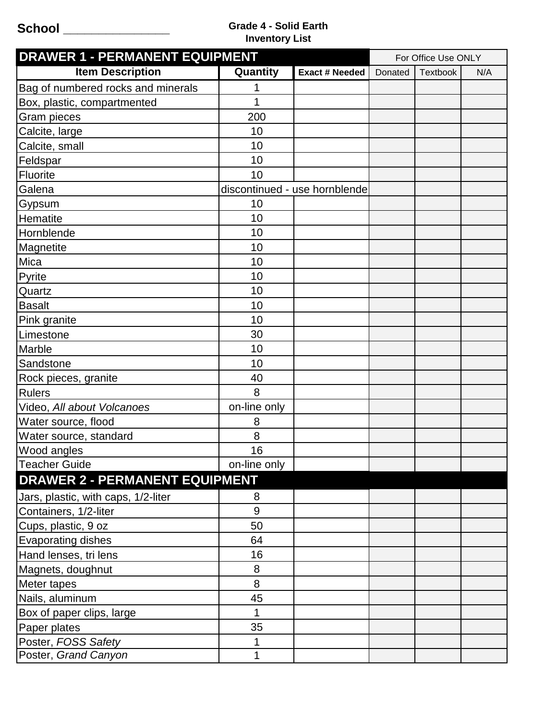## **School \_\_\_\_\_\_\_\_\_\_\_\_\_\_\_ Grade 4 - Solid Earth Inventory List**

| <b>DRAWER 1 - PERMANENT EQUIPMENT</b> |              |                               | For Office Use ONLY |                 |     |
|---------------------------------------|--------------|-------------------------------|---------------------|-----------------|-----|
| <b>Item Description</b>               | Quantity     | <b>Exact # Needed</b>         | Donated             | <b>Textbook</b> | N/A |
| Bag of numbered rocks and minerals    | 1            |                               |                     |                 |     |
| Box, plastic, compartmented           | 1            |                               |                     |                 |     |
| Gram pieces                           | 200          |                               |                     |                 |     |
| Calcite, large                        | 10           |                               |                     |                 |     |
| Calcite, small                        | 10           |                               |                     |                 |     |
| Feldspar                              | 10           |                               |                     |                 |     |
| Fluorite                              | 10           |                               |                     |                 |     |
| Galena                                |              | discontinued - use hornblende |                     |                 |     |
| Gypsum                                | 10           |                               |                     |                 |     |
| Hematite                              | 10           |                               |                     |                 |     |
| Hornblende                            | 10           |                               |                     |                 |     |
| Magnetite                             | 10           |                               |                     |                 |     |
| Mica                                  | 10           |                               |                     |                 |     |
| Pyrite                                | 10           |                               |                     |                 |     |
| Quartz                                | 10           |                               |                     |                 |     |
| <b>Basalt</b>                         | 10           |                               |                     |                 |     |
| Pink granite                          | 10           |                               |                     |                 |     |
| Limestone                             | 30           |                               |                     |                 |     |
| Marble                                | 10           |                               |                     |                 |     |
| Sandstone                             | 10           |                               |                     |                 |     |
| Rock pieces, granite                  | 40           |                               |                     |                 |     |
| <b>Rulers</b>                         | 8            |                               |                     |                 |     |
| Video, All about Volcanoes            | on-line only |                               |                     |                 |     |
| Water source, flood                   | 8            |                               |                     |                 |     |
| Water source, standard                | 8            |                               |                     |                 |     |
| Wood angles                           | 16           |                               |                     |                 |     |
| <b>Teacher Guide</b>                  | on-line only |                               |                     |                 |     |
| <b>DRAWER 2 - PERMANENT EQUIPMENT</b> |              |                               |                     |                 |     |
| Jars, plastic, with caps, 1/2-liter   | 8            |                               |                     |                 |     |
| Containers, 1/2-liter                 | 9            |                               |                     |                 |     |
| Cups, plastic, 9 oz                   | 50           |                               |                     |                 |     |
| <b>Evaporating dishes</b>             | 64           |                               |                     |                 |     |
| Hand lenses, tri lens                 | 16           |                               |                     |                 |     |
| Magnets, doughnut                     | 8            |                               |                     |                 |     |
| Meter tapes                           | 8            |                               |                     |                 |     |
| Nails, aluminum                       | 45           |                               |                     |                 |     |
| Box of paper clips, large             | 1            |                               |                     |                 |     |
| Paper plates                          | 35           |                               |                     |                 |     |
| Poster, FOSS Safety                   | 1            |                               |                     |                 |     |
| Poster, Grand Canyon                  | 1            |                               |                     |                 |     |